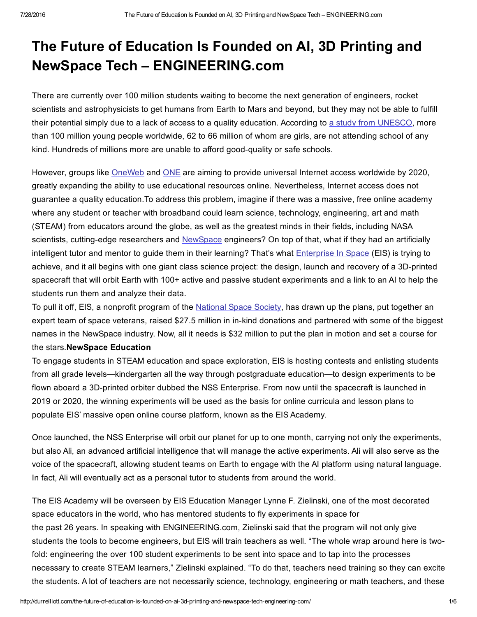## The Future of Education Is Founded on AI, 3D Printing and NewSpace Tech – ENGINEERING.com

There are currently over 100 million students waiting to become the next generation of engineers, rocket scientists and astrophysicists to get humans from Earth to Mars and beyond, but they may not be able to fulfill their potential simply due to a lack of access to a quality education. According to a study from [UNESCO](http://www.uis.unesco.org/Education/Pages/out-of-school-children.aspx), more than 100 million young people worldwide, 62 to 66 million of whom are girls, are not attending school of any kind. Hundreds of millions more are unable to afford good-quality or safe schools.

However, groups like [OneWeb](http://oneweb.world/need) and [ONE](https://www.one.org/us/2015/09/26/the-connectivity-declaration-demanding-internet-access-for-all-and-implementation-of-the-global-goals/) are aiming to provide universal Internet access worldwide by 2020, greatly expanding the ability to use educational resources online. Nevertheless, Internet access does not guarantee a quality education.To address this problem, imagine if there was a massive, free online academy where any student or teacher with broadband could learn science, technology, engineering, art and math (STEAM) from educators around the globe, as well as the greatest minds in their fields, including NASA scientists, cutting-edge researchers and [NewSpace](http://arstechnica.com/science/2014/11/firefly-space-systems-charges-full-speed-toward-low-earth-orbit/) engineers? On top of that, what if they had an artificially intelligent tutor and mentor to guide them in their learning? That's what **[Enterprise](http://enterpriseinspace.org/) In Space (EIS)** is trying to achieve, and it all begins with one giant class science project: the design, launch and recovery of a 3D-printed spacecraft that will orbit Earth with 100+ active and passive student experiments and a link to an AI to help the students run them and analyze their data.

To pull it off, EIS, a nonprofit program of the [National](http://nss.org/) Space Society, has drawn up the plans, put together an expert team of space veterans, raised \$27.5 million in in-kind donations and partnered with some of the biggest names in the NewSpace industry. Now, all it needs is \$32 million to put the plan in motion and set a course for the stars.NewSpace Education

To engage students in STEAM education and space exploration, EIS is hosting contests and enlisting students from all grade levels—kindergarten all the way through postgraduate education—to design experiments to be flown aboard a 3D-printed orbiter dubbed the NSS Enterprise. From now until the spacecraft is launched in 2019 or 2020, the winning experiments will be used as the basis for online curricula and lesson plans to populate EIS' massive open online course platform, known as the EIS Academy.

Once launched, the NSS Enterprise will orbit our planet for up to one month, carrying not only the experiments, but also Ali, an advanced artificial intelligence that will manage the active experiments. Ali will also serve as the voice of the spacecraft, allowing student teams on Earth to engage with the AI platform using natural language. In fact, Ali will eventually act as a personal tutor to students from around the world.

The EIS Academy will be overseen by EIS Education Manager Lynne F. Zielinski, one of the most decorated space educators in the world, who has mentored students to fly experiments in space for the past 26 years. In speaking with ENGINEERING.com, Zielinski said that the program will not only give students the tools to become engineers, but EIS will train teachers as well. "The whole wrap around here is twofold: engineering the over 100 student experiments to be sent into space and to tap into the processes necessary to create STEAM learners," Zielinski explained. "To do that, teachers need training so they can excite the students. A lot of teachers are not necessarily science, technology, engineering or math teachers, and these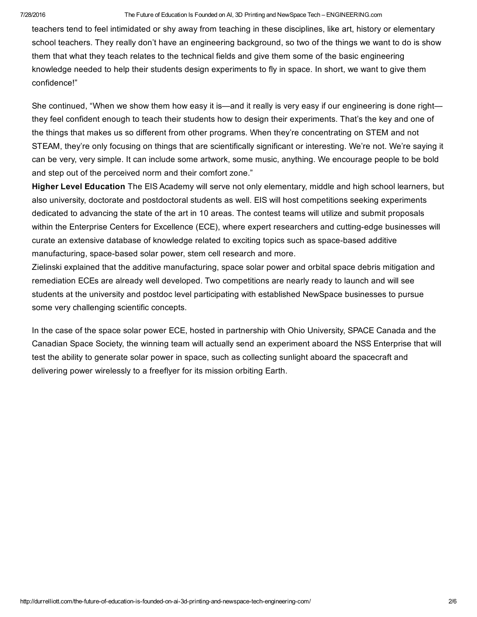## 7/28/2016 The Future of Education Is Founded on AI, 3D Printing and NewSpace Tech – ENGINEERING.com

teachers tend to feel intimidated or shy away from teaching in these disciplines, like art, history or elementary school teachers. They really don't have an engineering background, so two of the things we want to do is show them that what they teach relates to the technical fields and give them some of the basic engineering knowledge needed to help their students design experiments to fly in space. In short, we want to give them confidence!"

She continued, "When we show them how easy it is—and it really is very easy if our engineering is done right they feel confident enough to teach their students how to design their experiments. That's the key and one of the things that makes us so different from other programs. When they're concentrating on STEM and not STEAM, they're only focusing on things that are scientifically significant or interesting. We're not. We're saying it can be very, very simple. It can include some artwork, some music, anything. We encourage people to be bold and step out of the perceived norm and their comfort zone."

Higher Level Education The EIS Academy will serve not only elementary, middle and high school learners, but also university, doctorate and postdoctoral students as well. EIS will host competitions seeking experiments dedicated to advancing the state of the art in 10 areas. The contest teams will utilize and submit proposals within the Enterprise Centers for Excellence (ECE), where expert researchers and cutting-edge businesses will curate an extensive database of knowledge related to exciting topics such as space-based additive manufacturing, space-based solar power, stem cell research and more.

Zielinski explained that the additive manufacturing, space solar power and orbital space debris mitigation and remediation ECEs are already well developed. Two competitions are nearly ready to launch and will see students at the university and postdoc level participating with established NewSpace businesses to pursue some very challenging scientific concepts.

In the case of the space solar power ECE, hosted in partnership with Ohio University, SPACE Canada and the Canadian Space Society, the winning team will actually send an experiment aboard the NSS Enterprise that will test the ability to generate solar power in space, such as collecting sunlight aboard the spacecraft and delivering power wirelessly to a freeflyer for its mission orbiting Earth.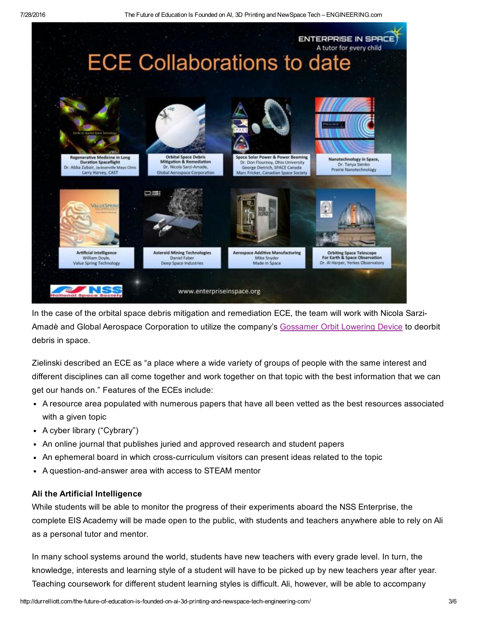

In the case of the orbital space debris mitigation and remediation ECE, the team will work with Nicola Sarzi-Amadè and Global Aerospace Corporation to utilize the company's [Gossamer](http://www.gaerospace.com/aeroassist/gossamer-orbit-lowering-device-gold-for-low-risk-satellite-de-orbit/) Orbit Lowering Device to deorbit debris in space.

Zielinski described an ECE as "a place where a wide variety of groups of people with the same interest and different disciplines can all come together and work together on that topic with the best information that we can get our hands on." Features of the ECEs include:

- A resource area populated with numerous papers that have all been vetted as the best resources associated with a given topic
- A cyber library ("Cybrary")
- An online journal that publishes juried and approved research and student papers
- An ephemeral board in which crosscurriculum visitors can present ideas related to the topic
- A question-and-answer area with access to STEAM mentor

## Ali the Artificial Intelligence

While students will be able to monitor the progress of their experiments aboard the NSS Enterprise, the complete EIS Academy will be made open to the public, with students and teachers anywhere able to rely on Ali as a personal tutor and mentor.

In many school systems around the world, students have new teachers with every grade level. In turn, the knowledge, interests and learning style of a student will have to be picked up by new teachers year after year. Teaching coursework for different student learning styles is difficult. Ali, however, will be able to accompany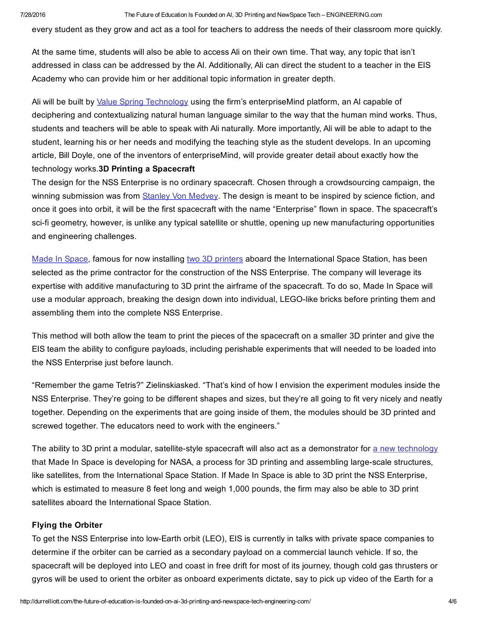every student as they grow and act as a tool for teachers to address the needs of their classroom more quickly.

At the same time, students will also be able to access Ali on their own time. That way, any topic that isn't addressed in class can be addressed by the AI. Additionally, Ali can direct the student to a teacher in the EIS Academy who can provide him or her additional topic information in greater depth.

Ali will be built by Value Spring [Technology](http://www.thevaluespring.com/) using the firm's enterpriseMind platform, an AI capable of deciphering and contextualizing natural human language similar to the way that the human mind works. Thus, students and teachers will be able to speak with Ali naturally. More importantly, Ali will be able to adapt to the student, learning his or her needs and modifying the teaching style as the student develops. In an upcoming article, Bill Doyle, one of the inventors of enterpriseMind, will provide greater detail about exactly how the technology works.3D Printing a Spacecraft

The design for the NSS Enterprise is no ordinary spacecraft. Chosen through a crowdsourcing campaign, the winning submission was from Stanley Von [Medvey](http://www.stanleyvonmedvey.com/). The design is meant to be inspired by science fiction, and once it goes into orbit, it will be the first spacecraft with the name "Enterprise" flown in space. The spacecraft's sci-fi geometry, however, is unlike any typical satellite or shuttle, opening up new manufacturing opportunities and engineering challenges.

Made In [Space](http://madeinspace.us/), famous for now installing two 3D [printers](http://www.engineering.com/3DPrinting/3DPrintingArticles/ArticleID/12114/First-Commercial-3D-Printer-Successfully-Installed-on-ISS.aspx) aboard the International Space Station, has been selected as the prime contractor for the construction of the NSS Enterprise*.* The company will leverage its expertise with additive manufacturing to 3D print the airframe of the spacecraft. To do so, Made In Space will use a modular approach, breaking the design down into individual, LEGO-like bricks before printing them and assembling them into the complete NSS Enterprise.

This method will both allow the team to print the pieces of the spacecraft on a smaller 3D printer and give the EIS team the ability to configure payloads, including perishable experiments that will needed to be loaded into the NSS Enterprise just before launch.

"Remember the game Tetris?" Zielinskiasked. "That's kind of how I envision the experiment modules inside the NSS Enterprise. They're going to be different shapes and sizes, but they're all going to fit very nicely and neatly together. Depending on the experiments that are going inside of them, the modules should be 3D printed and screwed together. The educators need to work with the engineers."

The ability to 3D print a modular, satellite-style spacecraft will also act as a demonstrator for a new [technology](http://3dprintingindustry.com/news/62367-62367/) that Made In Space is developing for NASA, a process for 3D printing and assembling large-scale structures, like satellites, from the International Space Station. If Made In Space is able to 3D print the NSS Enterprise, which is estimated to measure 8 feet long and weigh 1,000 pounds, the firm may also be able to 3D print satellites aboard the International Space Station.

## Flying the Orbiter

To get the NSS Enterprise into low-Earth orbit (LEO), EIS is currently in talks with private space companies to determine if the orbiter can be carried as a secondary payload on a commercial launch vehicle. If so, the spacecraft will be deployed into LEO and coast in free drift for most of its journey, though cold gas thrusters or gyros will be used to orient the orbiter as onboard experiments dictate, say to pick up video of the Earth for a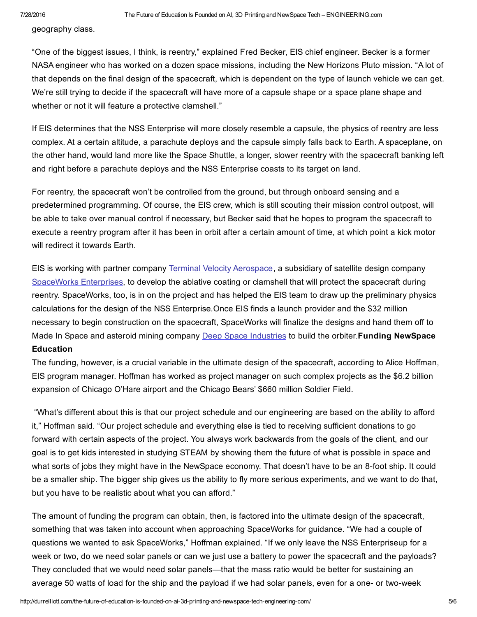geography class.

"One of the biggest issues, I think, is reentry," explained Fred Becker, EIS chief engineer. Becker is a former NASA engineer who has worked on a dozen space missions, including the New Horizons Pluto mission. "A lot of that depends on the final design of the spacecraft, which is dependent on the type of launch vehicle we can get. We're still trying to decide if the spacecraft will have more of a capsule shape or a space plane shape and whether or not it will feature a protective clamshell."

If EIS determines that the NSS Enterprise will more closely resemble a capsule, the physics of reentry are less complex. At a certain altitude, a parachute deploys and the capsule simply falls back to Earth. A spaceplane, on the other hand, would land more like the Space Shuttle, a longer, slower reentry with the spacecraft banking left and right before a parachute deploys and the NSS Enterprise coasts to its target on land.

For reentry, the spacecraft won't be controlled from the ground, but through onboard sensing and a predetermined programming. Of course, the EIS crew, which is still scouting their mission control outpost, will be able to take over manual control if necessary, but Becker said that he hopes to program the spacecraft to execute a reentry program after it has been in orbit after a certain amount of time, at which point a kick motor will redirect it towards Earth.

EIS is working with partner company Terminal Velocity [Aerospace,](http://terminalvelocityaero.com/) a subsidiary of satellite design company [SpaceWorks](http://www.sei.aero/) Enterprises, to develop the ablative coating or clamshell that will protect the spacecraft during reentry. SpaceWorks, too, is in on the project and has helped the EIS team to draw up the preliminary physics calculations for the design of the NSS Enterprise*.*Once EIS finds a launch provider and the \$32 million necessary to begin construction on the spacecraft, SpaceWorks will finalize the designs and hand them off to Made In Space and asteroid mining company Deep Space [Industries](https://deepspaceindustries.com/) to build the orbiter. Funding NewSpace **Education** 

The funding, however, is a crucial variable in the ultimate design of the spacecraft, according to Alice Hoffman, EIS program manager. Hoffman has worked as project manager on such complex projects as the \$6.2 billion expansion of Chicago O'Hare airport and the Chicago Bears' \$660 million Soldier Field.

"What's different about this is that our project schedule and our engineering are based on the ability to afford it," Hoffman said. "Our project schedule and everything else is tied to receiving sufficient donations to go forward with certain aspects of the project. You always work backwards from the goals of the client, and our goal is to get kids interested in studying STEAM by showing them the future of what is possible in space and what sorts of jobs they might have in the NewSpace economy. That doesn't have to be an 8-foot ship. It could be a smaller ship. The bigger ship gives us the ability to fly more serious experiments, and we want to do that, but you have to be realistic about what you can afford."

The amount of funding the program can obtain, then, is factored into the ultimate design of the spacecraft, something that was taken into account when approaching SpaceWorks for guidance. "We had a couple of questions we wanted to ask SpaceWorks," Hoffman explained. "If we only leave the NSS Enterpriseup for a week or two, do we need solar panels or can we just use a battery to power the spacecraft and the payloads? They concluded that we would need solar panels—that the mass ratio would be better for sustaining an average 50 watts of load for the ship and the payload if we had solar panels, even for a one- or two-week